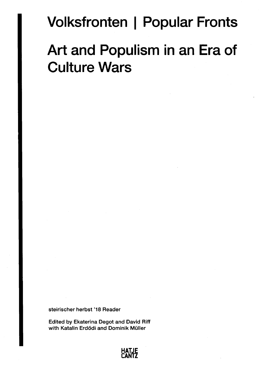## **Volksfronten | Popular Fronts**

## **Art and Populism in an Era of Culture Wars**

**steirischer herbst '18 Reader** 

**Edited by Ekaterina Degot and David Riff**  with Katalin Erdődi and Dominik Müller

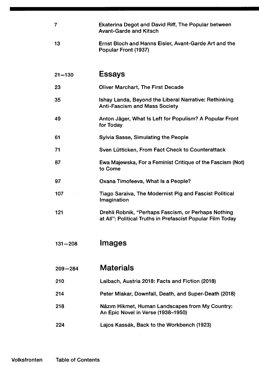| 7           | Ekaterina Degot and David Riff, The Popular between<br><b>Avant-Garde and Kitsch</b>                              |
|-------------|-------------------------------------------------------------------------------------------------------------------|
| 13          | Ernst Bloch and Hanns Eisler, Avant-Garde Art and the<br>Popular Front (1937)                                     |
|             |                                                                                                                   |
| $21 - 130$  | <b>Essays</b>                                                                                                     |
| 23          | <b>Oliver Marchart, The First Decade</b>                                                                          |
| 35          | Ishay Landa, Beyond the Liberal Narrative: Rethinking<br><b>Anti-Fascism and Mass Society</b>                     |
| 49          | Anton Jäger, What Is Left for Populism? A Popular Front<br>for Today                                              |
| 61          | <b>Sylvia Sasse, Simulating the People</b>                                                                        |
| 71          | Sven Lütticken, From Fact Check to Counterattack                                                                  |
| 87          | Ewa Majewska, For a Feminist Critique of the Fascism (Not)<br>to Come                                             |
| 97          | Oxana Timofeeva, What Is a People?                                                                                |
| 107         | Tiago Saraiva, The Modernist Pig and Fascist Political<br>Imagination                                             |
| 121         | Drehli Robnik, "Perhaps Fascism, or Perhaps Nothing<br>at All": Political Truths in Prefascist Popular Film Today |
|             |                                                                                                                   |
| $131 - 208$ | <b>Images</b>                                                                                                     |
|             |                                                                                                                   |
| $209 - 284$ | <b>Materials</b>                                                                                                  |
| 210         | Laibach, Austria 2018: Facts and Fiction (2018)                                                                   |
| 214         | Peter Mlakar, Downfall, Death, and Super-Death (2018)                                                             |
| 218         | Nâzim Hikmet, Human Landscapes from My Country:<br>An Epic Novel in Verse (1938-1950)                             |
| 224         | Lajos Kassák, Back to the Workbench (1923)                                                                        |

 $\label{eq:2.1} \frac{1}{\sqrt{2}}\int_{\mathbb{R}^3}\frac{1}{\sqrt{2}}\left(\frac{1}{\sqrt{2}}\right)^2\frac{1}{\sqrt{2}}\left(\frac{1}{\sqrt{2}}\right)^2\frac{1}{\sqrt{2}}\left(\frac{1}{\sqrt{2}}\right)^2.$